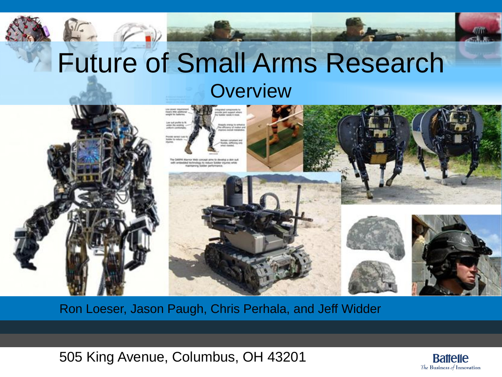#### Future of Small Arms Research **Overview**



Ron Loeser, Jason Paugh, Chris Perhala, and Jeff Widder

505 King Avenue, Columbus, OH 43201

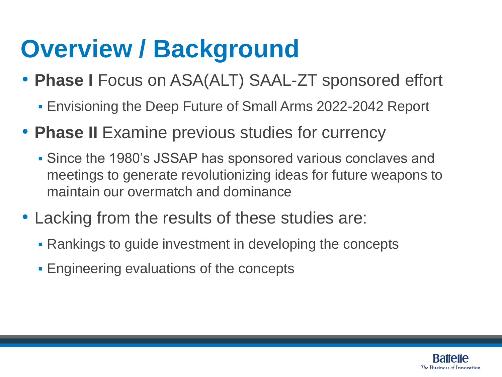#### **Overview / Background**

- **Phase I** Focus on ASA(ALT) SAAL-ZT sponsored effort
	- Envisioning the Deep Future of Small Arms 2022-2042 Report
- **Phase II** Examine previous studies for currency
	- Since the 1980's JSSAP has sponsored various conclaves and meetings to generate revolutionizing ideas for future weapons to maintain our overmatch and dominance
- Lacking from the results of these studies are:
	- Rankings to guide investment in developing the concepts
	- Engineering evaluations of the concepts

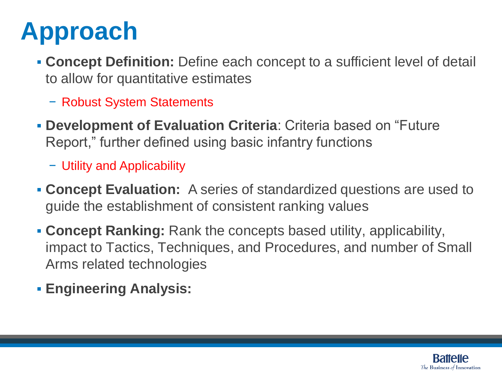## **Approach**

- **Concept Definition:** Define each concept to a sufficient level of detail to allow for quantitative estimates
	- − Robust System Statements
- **Development of Evaluation Criteria**: Criteria based on "Future Report," further defined using basic infantry functions
	- − Utility and Applicability
- **Concept Evaluation:** A series of standardized questions are used to guide the establishment of consistent ranking values
- **Concept Ranking:** Rank the concepts based utility, applicability, impact to Tactics, Techniques, and Procedures, and number of Small Arms related technologies
- **Engineering Analysis:**

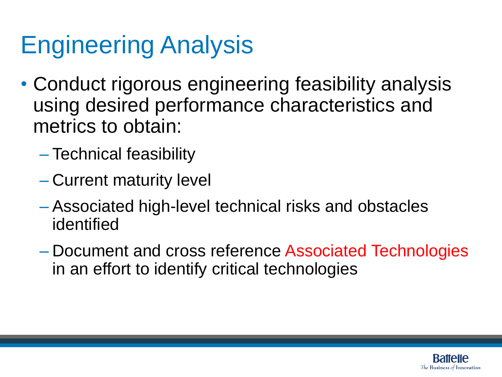## Engineering Analysis

- Conduct rigorous engineering feasibility analysis using desired performance characteristics and metrics to obtain:
	- Technical feasibility
	- Current maturity level
	- Associated high-level technical risks and obstacles identified
	- Document and cross reference Associated Technologies in an effort to identify critical technologies

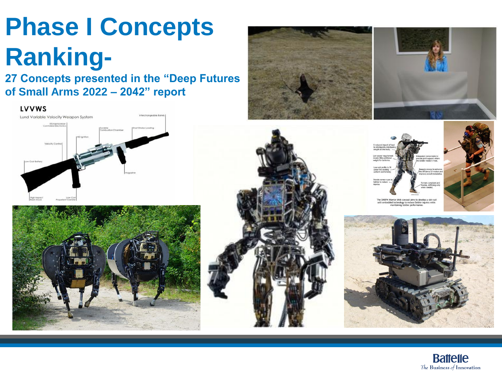# **Phase I Concepts Ranking-**

**27 Concepts presented in the "Deep Futures of Small Arms 2022 – 2042" report** 

LVVWS











Internal was concept all to develop a skill<br>mbedded technology to reduce Soldier injuries when



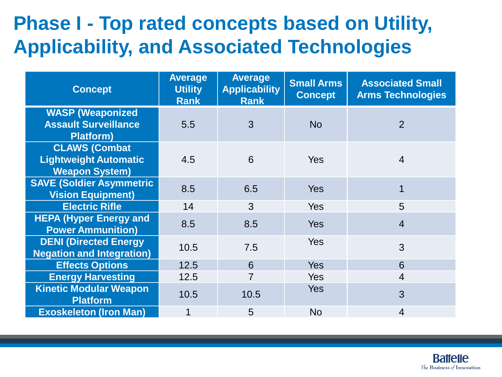#### **Phase I - Top rated concepts based on Utility, Applicability, and Associated Technologies**

| <b>Concept</b>                                                                | <b>Average</b><br><b>Utility</b><br><b>Rank</b> | <b>Average</b><br><b>Applicability</b><br><b>Rank</b> | <b>Small Arms</b><br><b>Concept</b> | <b>Associated Small</b><br><b>Arms Technologies</b> |
|-------------------------------------------------------------------------------|-------------------------------------------------|-------------------------------------------------------|-------------------------------------|-----------------------------------------------------|
| <b>WASP (Weaponized</b><br><b>Assault Surveillance</b><br><b>Platform)</b>    | 5.5                                             | 3                                                     | <b>No</b>                           | $\overline{2}$                                      |
| <b>CLAWS (Combat</b><br><b>Lightweight Automatic</b><br><b>Weapon System)</b> | 4.5                                             | 6                                                     | <b>Yes</b>                          | $\overline{4}$                                      |
| <b>SAVE (Soldier Asymmetric</b><br><b>Vision Equipment)</b>                   | 8.5                                             | 6.5                                                   | <b>Yes</b>                          | 1                                                   |
| <b>Electric Rifle</b>                                                         | 14                                              | 3                                                     | Yes                                 | 5                                                   |
| <b>HEPA (Hyper Energy and</b><br><b>Power Ammunition)</b>                     | 8.5                                             | 8.5                                                   | <b>Yes</b>                          | $\overline{4}$                                      |
| <b>DENI (Directed Energy)</b><br><b>Negation and Integration)</b>             | 10.5                                            | 7.5                                                   | Yes                                 | 3                                                   |
| <b>Effects Options</b>                                                        | 12.5                                            | 6                                                     | <b>Yes</b>                          | 6                                                   |
| <b>Energy Harvesting</b>                                                      | 12.5                                            | $\overline{7}$                                        | <b>Yes</b>                          | $\overline{4}$                                      |
| <b>Kinetic Modular Weapon</b><br><b>Platform</b>                              | 10.5                                            | 10.5                                                  | <b>Yes</b>                          | 3                                                   |
| <b>Exoskeleton (Iron Man)</b>                                                 | 1                                               | 5                                                     | <b>No</b>                           | 4                                                   |

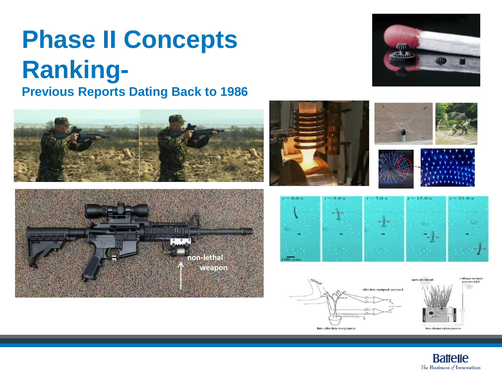# **Phase II Concepts Ranking-**

**Previous Reports Dating Back to 1986**

















ontical stimuli





**Battelle** The Business of Innovation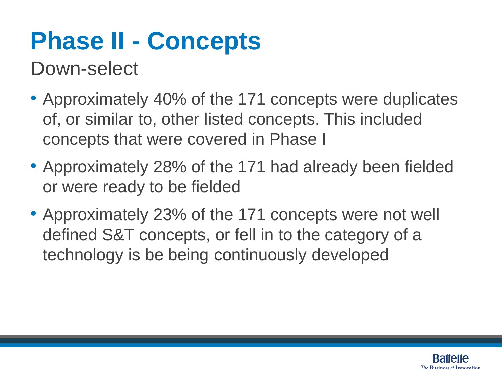## **Phase II - Concepts**

Down-select

- Approximately 40% of the 171 concepts were duplicates of, or similar to, other listed concepts. This included concepts that were covered in Phase I
- Approximately 28% of the 171 had already been fielded or were ready to be fielded
- Approximately 23% of the 171 concepts were not well defined S&T concepts, or fell in to the category of a technology is be being continuously developed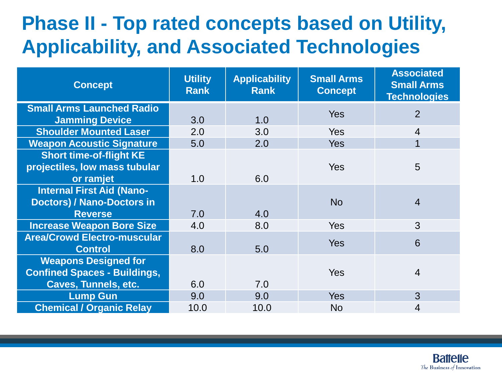#### **Phase II - Top rated concepts based on Utility, Applicability, and Associated Technologies**

| <b>Concept</b>                      | <b>Utility</b><br><b>Rank</b> | <b>Applicability</b><br><b>Rank</b> | <b>Small Arms</b><br><b>Concept</b> | <b>Associated</b><br><b>Small Arms</b><br><b>Technologies</b> |
|-------------------------------------|-------------------------------|-------------------------------------|-------------------------------------|---------------------------------------------------------------|
| <b>Small Arms Launched Radio</b>    |                               |                                     | <b>Yes</b>                          | $\overline{2}$                                                |
| <b>Jamming Device</b>               | 3.0                           | 1.0                                 |                                     |                                                               |
| <b>Shoulder Mounted Laser</b>       | 2.0                           | 3.0                                 | <b>Yes</b>                          | $\overline{4}$                                                |
| <b>Weapon Acoustic Signature</b>    | 5.0                           | 2.0                                 | <b>Yes</b>                          | 1                                                             |
| <b>Short time-of-flight KE</b>      |                               |                                     |                                     |                                                               |
| projectiles, low mass tubular       |                               |                                     | Yes                                 | 5                                                             |
| or ramjet                           | 1.0                           | 6.0                                 |                                     |                                                               |
| <b>Internal First Aid (Nano-</b>    |                               |                                     |                                     |                                                               |
| <b>Doctors) / Nano-Doctors in</b>   |                               |                                     | <b>No</b>                           | $\overline{4}$                                                |
| <b>Reverse</b>                      | 7.0                           | 4.0                                 |                                     |                                                               |
| <b>Increase Weapon Bore Size</b>    | 4.0                           | 8.0                                 | <b>Yes</b>                          | 3                                                             |
| <b>Area/Crowd Electro-muscular</b>  |                               |                                     | <b>Yes</b>                          | 6                                                             |
| <b>Control</b>                      | 8.0                           | 5.0                                 |                                     |                                                               |
| <b>Weapons Designed for</b>         |                               |                                     |                                     |                                                               |
| <b>Confined Spaces - Buildings,</b> |                               |                                     | <b>Yes</b>                          | $\overline{4}$                                                |
| <b>Caves, Tunnels, etc.</b>         | 6.0                           | 7.0                                 |                                     |                                                               |
| <b>Lump Gun</b>                     | 9.0                           | 9.0                                 | <b>Yes</b>                          | 3                                                             |
| <b>Chemical / Organic Relay</b>     | 10.0                          | 10.0                                | <b>No</b>                           | 4                                                             |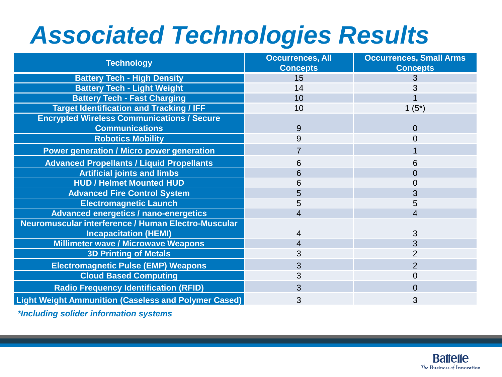### *Associated Technologies Results*

| <b>Technology</b>                                           | <b>Occurrences, All</b><br><b>Concepts</b> | <b>Occurrences, Small Arms</b><br><b>Concepts</b> |
|-------------------------------------------------------------|--------------------------------------------|---------------------------------------------------|
| <b>Battery Tech - High Density</b>                          | 15                                         | 3                                                 |
| <b>Battery Tech - Light Weight</b>                          | 14                                         |                                                   |
| <b>Battery Tech - Fast Charging</b>                         | 10                                         |                                                   |
| <b>Target Identification and Tracking / IFF</b>             | 10                                         | $1(5^*)$                                          |
| <b>Encrypted Wireless Communications / Secure</b>           |                                            |                                                   |
| <b>Communications</b>                                       | 9                                          | $\Omega$                                          |
| <b>Robotics Mobility</b>                                    | 9                                          | 0                                                 |
| <b>Power generation / Micro power generation</b>            |                                            |                                                   |
| <b>Advanced Propellants / Liquid Propellants</b>            | 6                                          | 6                                                 |
| <b>Artificial joints and limbs</b>                          | 6                                          | 0                                                 |
| <b>HUD / Helmet Mounted HUD</b>                             | 6                                          |                                                   |
| <b>Advanced Fire Control System</b>                         | 5                                          |                                                   |
| <b>Electromagnetic Launch</b>                               | 5                                          | 5                                                 |
| <b>Advanced energetics / nano-energetics</b>                | 4                                          | 4                                                 |
| Neuromuscular interference / Human Electro-Muscular         |                                            |                                                   |
| <b>Incapacitation (HEMI)</b>                                | 4                                          | 3                                                 |
| <b>Millimeter wave / Microwave Weapons</b>                  | 4                                          | 3                                                 |
| <b>3D Printing of Metals</b>                                | 3                                          |                                                   |
| <b>Electromagnetic Pulse (EMP) Weapons</b>                  | 3                                          | $\overline{2}$                                    |
| <b>Cloud Based Computing</b>                                | 3                                          | 0                                                 |
| <b>Radio Frequency Identification (RFID)</b>                | 3                                          | 0                                                 |
| <b>Light Weight Ammunition (Caseless and Polymer Cased)</b> | 3                                          | 3                                                 |

*\*Including solider information systems*

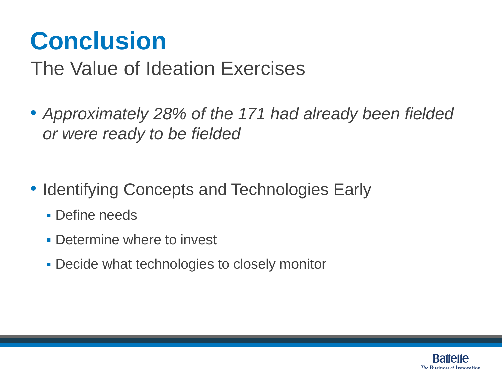### **Conclusion**

#### The Value of Ideation Exercises

- *Approximately 28% of the 171 had already been fielded or were ready to be fielded*
- Identifying Concepts and Technologies Early
	- **Define needs**
	- Determine where to invest
	- **Decide what technologies to closely monitor**